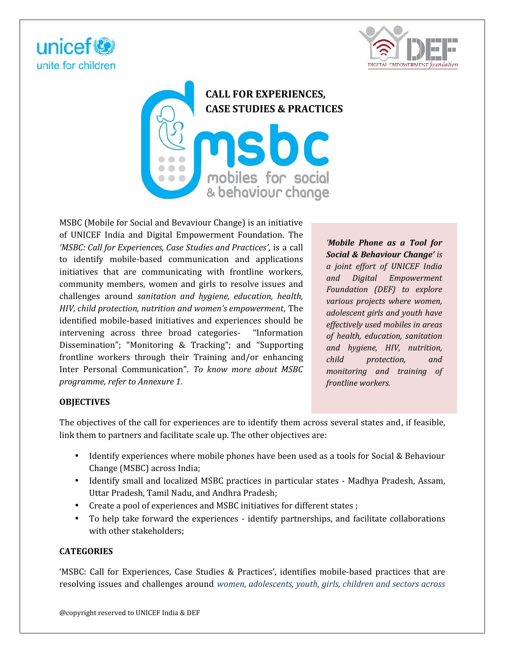





MSBC (Mobile for Social and Bevaviour Change) is an initiative of UNICEF India and Digital Empowerment Foundation. The *'MSBC: Call for Experiences, Case Studies and Practices'*, is a call to identify mobile-based communication and applications initiatives that are communicating with frontline workers, community members, women and girls to resolve issues and challenges around *sanitation and hygiene, education, health, HIV, child protection, nutrition and women's empowerment*, The identified mobile-based initiatives and experiences should be intervening across three broad categories- "Information Dissemination"; "Monitoring & Tracking"; and "Supporting <sub>an</sub> frontline workers through their Training and/or enhancing child Inter Personal Communication". *To know more about MSBC programme, refer to Annexure 1.* ocial and Bevaviour Change) is an initiative<br>dibigtal Empowerment Foundation. The<br>
riences, Case Studies and Practices', is a call<br>
-based communication and applications<br>
communicating with frontline workers,<br>
rs, women an identify mobile-based communication and applications<br>atives that are communicating with frontline workers,<br>influentify members, women and girls to resolve issues and Figure *and the Hip Pressive Hierary*<br> *above the broad categories-* "Informat"<br> *above information above in Training and/or enhanced minimal and/or enhanced minimal to Annexure 1.* 

*'Mobile Phone as a Tool for Social & Behaviour Change' is a joint effort of UNICEF India and Digital Empowerment Foundation (DEF) to explore various projects where women, adolescent girls and youth have effectively used mobiles in areas of health, education, sanitation and hygiene, HIV, nutrition, child protection, and monitoring and training of frontline workers. and and <b><i>a a z z z <i>a <i>i*ndial & Behaviour Change' is<br> *a joint effort of <i>UNCEF* India<br> *a joint effort of UNCEF hore and Digital Empowerment,*<br> *remation, health,*<br> *and Digital Empowerment,*<br> *condatio* 

# **OBJECTIVES**

The objectives of the call for experiences are to identify them across several states and, if feasible, link them to partners and facilitate scale up. The other objectives are:

- Identify experiences where mobile phones have been used as a tools for Social & Behaviour Change (MSBC) across India;
- Identify small and localized MSBC practices in particular states Madhya Pradesh, Assam, Uttar Pradesh, Tamil Nadu, and Andhra Pradesh;
- Create a pool of experiences and MSBC initiatives for different states ;
- To help take forward the experiences identify partnerships, and facilitate collaborations with other stakeholders; The objectives of the call for experiences are to identify them across several states and, if the link them to partners and facilitate scale up. The other objectives are:<br>
• Identify experiences where mobile phones have be

# **CATEGORIES**

'MSBC: Call for Experiences, Case Studies & Practices', identifies mobile-based practices that are mobile-based resolving issues and challenges around *women, adolescents, youth, girls, children and sectors across*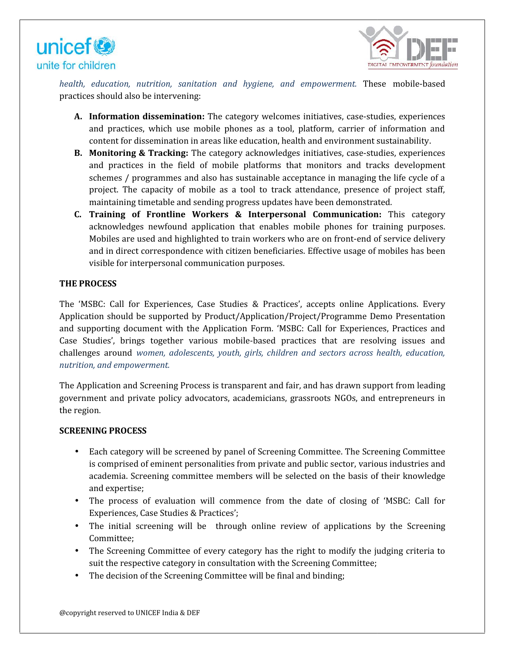



*health, education, nutrition, sanitation and hygiene, and empowerment.* These mobile-based practices should also be intervening:

- **A. Information dissemination:** The category welcomes initiatives, case-studies, experiences and practices, which use mobile phones as a tool, platform, carrier of information and content for dissemination in areas like education, health and environment sustainability.
- **B. Monitoring & Tracking:** The category acknowledges initiatives, case-studies, experiences and practices in the field of mobile platforms that monitors and tracks development schemes / programmes and also has sustainable acceptance in managing the life cycle of a project. The capacity of mobile as a tool to track attendance, presence of project staff, maintaining timetable and sending progress updates have been demonstrated. and also has sustainable acceptance in managing the life cycle of a<br>i mobile as a tool to track attendance, presence of project staff,<br>id sending progress updates have been demonstrated.
- **C.** Training of Frontline Workers & Interpersonal Communication: This category acknowledges newfound application that enables mobile phones for training purposes. acknowledges newfound application that enables mobile phones for training purposes.<br>Mobiles are used and highlighted to train workers who are on front-end of service delivery and in direct correspondence with citizen beneficiaries. Effective usage of mobiles has been and in direct correspondence with citizen beneficiarie<br>visible for interpersonal communication purposes.

# **THE PROCESS PROCESS**

The 'MSBC: Call for Experiences, Case Studies & Practices', accepts online Applications. Every The 'MSBC: Call for Experiences, Case Studies & Practices', accepts online Applications. Every<br>Application should be supported by Product/Application/Project/Programme Demo Presentation and supporting document with the Application Form. 'MSBC: Call for Experiences, Practices and Case Studies', brings together various mobile-based practices that are resolving issues and and supporting document with the Application Form. 'MSBC: Call for Experiences, Practices and<br>Case Studies', brings together various mobile-based practices that are resolving issues and<br>challenges around *women, adolescent nutrition, and empowerment.* divection, antridion, associated and hydron, and empowerment. These mobile-based<br>fromation dissemination : The category welcomes is at tool, plation, carrier of indivirualis and practices, which use mobile-based<br>then the f In direct correspondence with citizen beneficiaries. Lifective usage of<br>
le for interpersonal communication purposes.<br>
SS<br>
Call for Experiences, Case Studies & Practices', accepts online Ap<br>
should be supported by Product/

The Application and Screening Process is transparent and fair, and has drawn support from leading The Application and Screening Process is transparent and fair, and has drawn support from leading<br>government and private policy advocators, academicians, grassroots NGOs, and entrepreneurs in the region.

#### **SCREENING PROCESS**

- Each category will be screened by panel of Screening Committee. The Screening Committee is comprised of eminent personalities from private and public sector, various industries and is comprised of eminent personalities from private and public sector, various industries and<br>academia. Screening committee members will be selected on the basis of their knowledge and expertise;
- The process of evaluation will commence from the date of closing of 'MSBC: Call for Experiences, Case Studies & Practices';
- Experiences, Case Studies & Practices';<br>The initial screening will be through online review of applications by the Screening Committee;
- The Screening Committee of every category has the right to modify the judging criteria to suit the respective category in consultation with the Screening Committee;
- The decision of the Screening Committee will be final and binding;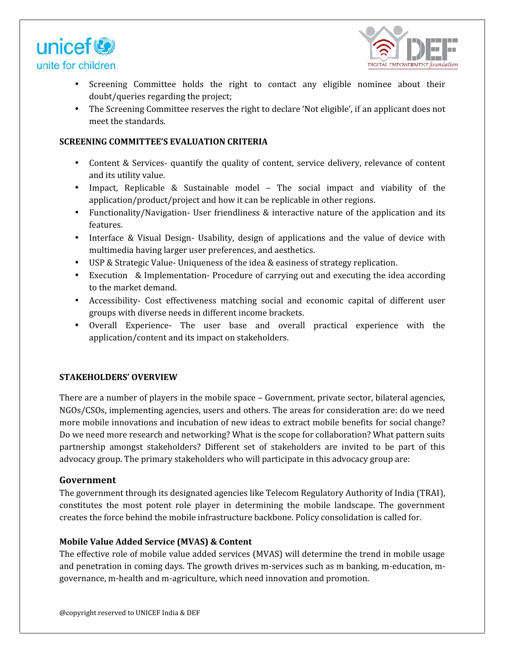



- Screening Committee holds the right to contact any eligible nominee about their doubt/queries regarding the project;
- The Screening Committee reserves the right to declare 'Not eligible', if an applicant does not meet the standards.

## **SCREENING COMMITTEE'S EVALUATION CRITERIA**

- Content & Services- quantify the quality of content, service delivery, relevance of content and its utility value. • Content & Services- quantify the quality of content, service delivery, relevance of content<br>and its utility value.<br>• Impact, Replicable & Sustainable model – The social impact and viability of the
- application/product/project and how it can be replicable in other regions.
- Functionality/Navigation- User friendliness & interactive nature of the application and its features.
- Interface & Visual Design- Usability, design of applications and the value of device with multimedia having larger user preferences, and aesthetics.
- multimedia having larger user preferences, and aesthetics.<br>• USP & Strategic Value- Uniqueness of the idea & easiness of strategy replication.
- Execution & Implementation- Procedure of carrying out and executing the idea according to the market demand.
- Accessibility- Cost effectiveness matching social and economic capital of different user groups with diverse needs in different income brackets.
- Overall Experience- The user base and overall practical experience with the Overall Experience- The user base and overall<br>application/content and its impact on stakeholders.

# **STAKEHOLDERS' OVERVIEW STAKEHOLDERS'**

There are a number of players in the mobile space – Government, private sector, bilateral agencies, NGOs/CSOs, implementing agencies, users and others. The areas for consideration are: do we need more mobile innovations and incubation of new ideas to extract mobile benefits for social change? Do we need more research and networking? What is the scope for collaboration? What pattern suits partnership amongst stakeholders? Different set of stakeholders are invited to be part of this advocacy group. The primary stakeholders who will participate in this advocacy group are: committee houts the right to contact any eligible nonlinee a boost their<br>is esterating the right to contact any eligible', if an applicant does not<br>interactive reserves the right to declare Not eligible', if an applicant d NGOs/CSOs, implementing agencies, users and others. The areas for consideration are: do we need<br>more mobile innovations and incubation of new ideas to extract mobile benefits for social change?<br>Do we need more research and &

# **Government**

The government through its designated agencies like Telecom Regulatory Authority of India (TRAI), constitutes the most potent role player in determining the mobile landscape. The government creates the force behind the mobile infrastructure backbone. Policy consolidation is called for.

# **Mobile Value Added Service (MVAS) & Content Added Service**

The effective role of mobile value added services (MVAS) will determine the trend in mobile usage The effective role of mobile value added services (MVAS) will determine the trend in mobile usage<br>and penetration in coming days. The growth drives m-services such as m banking, m-education, mgovernance, m-health and m-agriculture, which need innovation and promotion.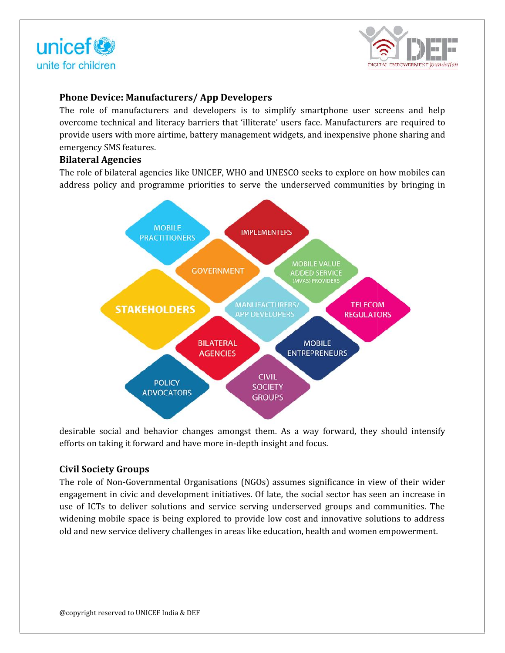



# **Phone Device: Manufacturers/ App Developers**

The role of manufacturers and developers is to simplify smartphone user screens and help overcome technical and literacy barriers that 'illiterate' users face. Manufacturers are required to provide users with more airtime, battery management widgets, and inexpensive phone sharing and emergency SMS features.

# **Bilateral Agencies**

The role of bilateral agencies like UNICEF, WHO and UNESCO seeks to explore on how mobiles can address policy and programme priorities to serve the underserved communities by bringing in



desirable social and behavior changes amongst them. As a way forward, they should intensify efforts on taking it forward and have more in-depth insight and focus.

# **Civil Society Groups**

The role of Non-Governmental Organisations (NGOs) assumes significance in view of their wider engagement in civic and development initiatives. Of late, the social sector has seen an increase in use of ICTs to deliver solutions and service serving underserved groups and communities. The widening mobile space is being explored to provide low cost and innovative solutions to address old and new service delivery challenges in areas like education, health and women empowerment. role of Non-Governmental Organisations (NGOs) assumes significance in view of their wider<br>agement in civic and development initiatives. Of late, the social sector has seen an increase in<br>of ICTs to deliver solutions and se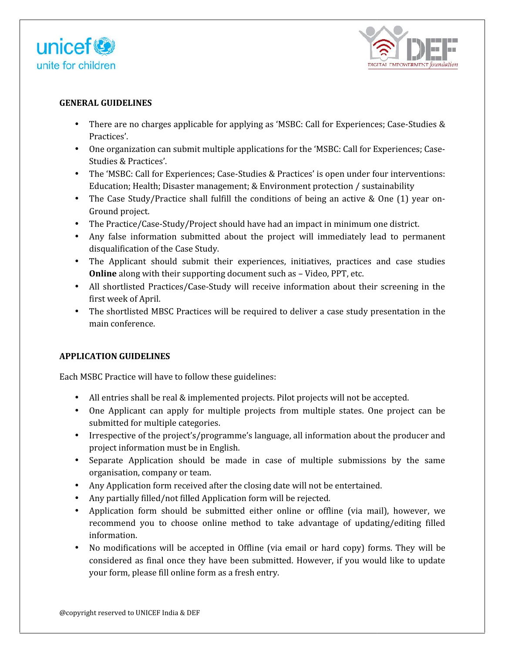



#### **GENERAL GUIDELINES**

- There are no charges applicable for applying as 'MSBC: Call for Experiences; Case-Studies & Practices'.
- One organization can submit multiple applications for the 'MSBC: Call for Experiences; Case- Studies & Practices'.
- The 'MSBC: Call for Experiences; Case-Studies & Practices' is open under four interventions: Education; Health; Disaster management; & Environment protection / sustainability
- The Case Study/Practice shall fulfill the conditions of being an active & One (1) year on-Ground project.
- The Practice/Case-Study/Project should have had an impact in minimum one district.
- Any false information submitted about the project will immediately lead to permanent disqualification of the Case Study.
- The Applicant should submit their experiences, initiatives, practices and case studies **Online** along with their supporting document such as – Video, PPT, etc.
- All shortlisted Practices/Case-Study will receive information about their screening in the first week of April. • The Applicant should submit their experiences, initiatives, practices and case studies<br> **Online** along with their supporting document such as – Video, PPT, etc.<br>
• All shortlisted Practices/Case-Study will receive inform
- main conference.

# **APPLICATION GUIDELINES**

Each MSBC Practice will have to follow these guidelines:

- All entries shall be real & implemented projects. Pilot projects will not be accepted.
- One Applicant can apply for multiple projects from multiple states. One project can be submitted for multiple categories. • One Applicant can apply for multiple projects from multiple states. One project can be submitted for multiple categories.<br>• Irrespective of the project's/programme's language, all information about the producer and
- project information must be in English.
- Separate Application should be made in case of multiple submissions by the same organisation, company or team.
- Any Application form received after the closing date will not be entertained.
- Any partially filled/not filled Application form will be rejected.
- Application form should be submitted either online or offline (via mail), however, we recommend you to choose online method to take advantage of updating/editing filled information. are no charges applicable for applying as "MSKC: Call for Experiences; Case-Studies"<br>
orges.<br>
Sees. Call for Experiences; Case-Studies & Practices'.<br>
SMSEC: Call for Experiences; Case-Studies Case-Studies & Practices'.<br>
SM Separate Application should be made in case of multiple submissions by the sa<br>organisation, company or team.<br>Any Application form received after the closing date will not be entertained.<br>Any partially filled/not filled App
- No modifications will be accepted in Offline (via email or hard copy) forms. They will be considered as final once they have been submitted. However, if you would like to update your form, please fill online form as a fresh entry.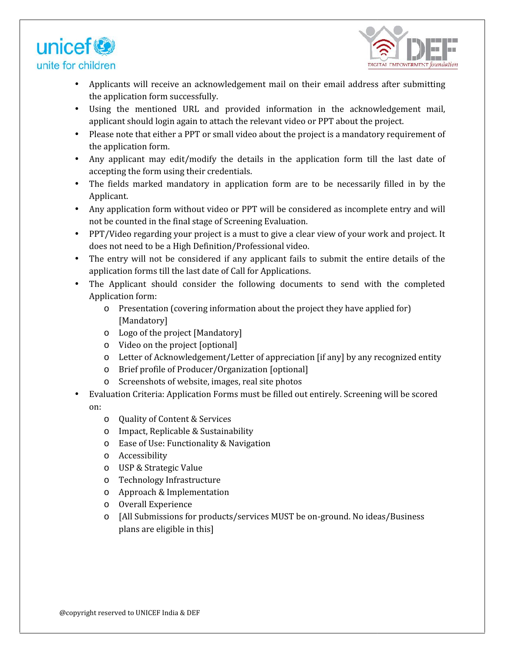



- Applicants will receive an acknowledgement mail on their email address after submitting the application form successfully.
- Using the mentioned URL and provided information in the acknowledgement mail, applicant should login again to attach the relevant video or PPT about the project.
- Please note that either a PPT or small video about the project is a mandatory requirement of the application form.
- Any applicant may edit/modify the details in the application form till the last date of accepting the form using their credentials. mts will receive an achievabed<br>metastaristic filestion form successfully.<br>Ilication form successfully,<br>the mentioned URL and provided information in the achievabed<br>energies at stabile dependent mail,<br>the mentioned URL and
- The fields marked mandatory in application form are to be necessarily filled in by the Applicant.
- Any application form without video or PPT will be considered as incomplete entry and will not be counted in the final stage of Screening Evaluation.
- PPT/Video regarding your project is a must to give a clear view of your work and project. It does not need to be a High Definition/Professional video.
- The entry will not be considered if any applicant fails to submit the entire details of the application forms till the last date of Call for Applications.
- The Applicant should consider the following documents to send with the completed Application form:
	- o Presentation (covering information about the project they have applied for) [Mandatory]
	- o Logo of the project [Mandatory]
	- o Video on the project [optional]
	- o Letter of Acknowledgement/Letter of appreciation [if any] by any recognized entity
	- o Brief profile of Producer/Organization [optional]
	- o Screenshots of website, images, real site photos
- Evaluation Criteria: Application Forms must be filled out entirely. Screening will be scored on:
	- o Quality of Content & Services
	- o Impact, Replicable & Sustainability
	- o Ease of Use: Functionality & Navigation
	- o Accessibility
	- o USP & Strategic Value
	- o Technology Infrastructure
	- o Approach & Implementation
	- o Overall Experience
	- o [All Submissions for products/services MUST be on-ground. No ideas/Business plans are eligible in this]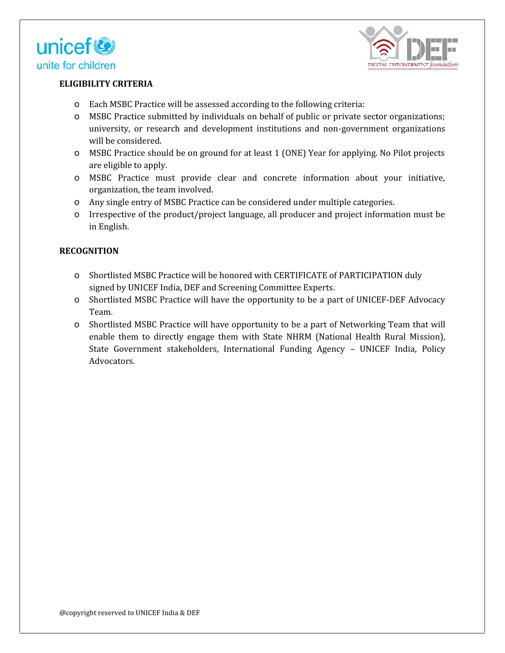



# **ELIGIBILITY CRITERIA**

- o Each MSBC Practice will be assessed according to the following criteria:
- o MSBC Practice submitted by individuals on behalf of public or private sector organizations; university, or research and development institutions and non-government organizations will be considered.
- o MSBC Practice should be on ground for at least 1 (ONE) Year for applying. No Pilot projects are eligible to apply.
- o MSBC Practice must provide clear and concrete information about your initiative, organization, the team involved.
- o Any single entry of MSBC Practice can be considered under multiple categories.
- o Irrespective of the product/project language, all producer and project information must be in English.

# **RECOGNITION**

- o Shortlisted MSBC Practice will be honored with CERTIFICATE of PARTICIPATION duly signed by UNICEF India, DEF and Screening Committee Experts.
- o Shortlisted MSBC Practice will have the opportunity to be a part of UNICEF-DEF Advocacy Team.
- o Shortlisted MSBC Practice will have opportunity to be a part of Networking Team that will enable them to directly engage them with State NHRM (National Health Rural Mission), State Government stakeholders, International Funding Agency – UNICEF India, Policy Advocators. **Y CRITERIA**<br>
M MSRC Practice will be assessed accurding to the following criteria:<br>
MSRC Practice submitted by individuals un hehalf of public or private sector urganizations;<br>
SC Practice submitted by individuals un heha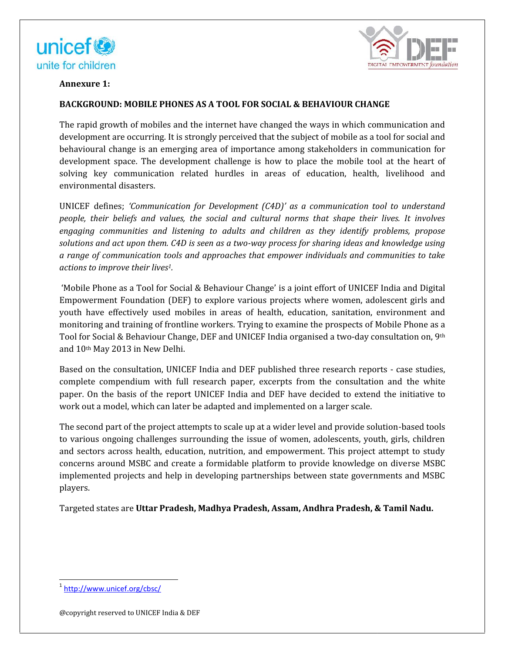



## **Annexure 1:**

## **BACKGROUND: MOBILE PHONES AS A TOOL FOR SOCIAL & BEHAVIOUR CHANGE**

The rapid growth of mobiles and the internet have changed the ways in which communication and development are occurring. It is strongly perceived that the subject of mobile as a tool for social and behavioural change is an emerging area of importance among stakeholders in communication for behavioural change is an emerging area of importance among stakeholders in communication for<br>development space. The development challenge is how to place the mobile tool at the heart of solving key communication related hurdles in areas of education, health, livelihood and<br>environmental·disasters. environmental disasters. **IBILE PHONES AS A TOOL FOR SOCIAL & BEHAVIOUR CHANGE<br>
The phologes and the internet have changed the ways in which communication and<br>
mortaring it is strongly perceived that the subject of mobile as a total for social and** 

UNICEF defines; *'Communication for Development (C4D)' as a communication tool to understand people, their beliefs and values, the social and cultural norms that shape their lives. It involves 'Communication as a to social that It engaging communities and listening to adults and children as they identify problems, propose solutions and act upon them. C4D is seen as a two-way process for sharing ideas and knowledge using a range of communication tools and approaches that empower individuals and communities to take actions to improve their lives1. there communities and listening to adults and children as they identify pr to and act upon them. C4D is seen as a two-way process for sharing ideas and of communication tools and approaches that empower individuals and* 

'Mobile Phone as a Tool for Social & Behaviour Change' is a joint effort of UNICEF India and Digital 'Mobile Phone as a Tool for Social & Behaviour Change' is a joint effort of UNICEF India and Digital<br>Empowerment Foundation (DEF) to explore various projects where women, adolescent girls and youth have effectively used mobiles in areas of health, education, sanitation, environment and monitoring and training of frontline workers. Trying to examine the prospects of Mobile Phone as a Tool for Social & Behaviour Change, DEF and UNICEF India organised a two-day consultation on, 9<sup>th</sup> and 10th May 2013 in New Delhi. youth have effectively used mobiles in areas of health, education, sanitation, environment and<br>monitoring and training of frontline workers. Trying to examine the prospects of Mobile Phone as a<br>Tool for Social & Behaviour

Based on the consultation, UNICEF India and DEF published three research reports - case studies, and 10th May 2013 in New Delhi.<br>Based on the consultation, UNICEF India and DEF published three research reports - case studies,<br>complete compendium with full research paper, excerpts from the consultation and the white paper. On the basis of the report UNICEF India and DEF have decided to extend the initiative to work out a model, which can later be adapted and implemented on a larger scale.

The second part of the project attempts to scale up at a wider level and provide solution-based tools to various ongoing challenges surrounding the issue of women, adolescents, youth, girls, children and sectors across health, education, nutrition, and empowerment. This project attempt to study concerns around MSBC and create a formidable platform to provide knowledge on diverse MSBC paper. On the basis of the report UNICEF India and DEF have decided to extend the initiative to<br>work out a model, which can later be adapted and implemented on a larger scale.<br>The second part of the project attempts to sca players.

Targeted states are **Uttar Pradesh, Madhya Pradesh, Assam, Andhra Pradesh, & Tamil Nadu.** 

@copyright reserved to UNICEF India & DEF

<sup>1</sup> http://www.unicef.org/cbsc/